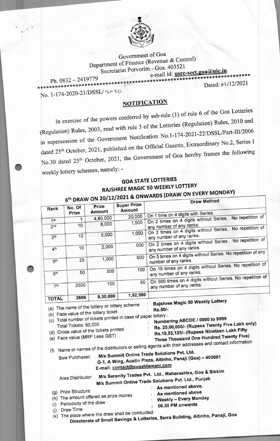

Government of Goa Department of Finance (Revenue & Control) Secretariat Porvorim - Goa. 403521 e-mail id: usrc-sect.goa@nic.in

Dated: 02/12/2021

Ph. 0832 - 2419779

No. 1-174-2020-21/DSSL/2090

## **NOTIFICATION**

In exercise of the powers conferred by sub-rule (1) of rule 6 of the Goa Lotteries (Regulation) Rules, 2003, read with rule 3 of the Lotteries (Regulation) Rules, 2010 and in supersession of the Government Notification No.1-174-2021-22/DSSL/Part-III/2006 dated 25<sup>th</sup> October, 2021, published on the Official Gazette, Extraordinary No.2, Series I No.30 dated 25<sup>th</sup> October, 2021, the Government of Goa hereby frames the following weekly lottery schemes, namely: -

## **GOA STATE LOTTERIES RAJSHREE MAGIC 50 WEEKLY LOTTERY** 6<sup>th</sup> DRAW ON 20/12/2021 & ONWARDS (DRAW ON EVERY MONDAY)

| Rank                               | No. Of<br>Prize                                                                      | Prize<br>Amount                                                                       | <b>Super Prize</b><br>Amount                                                        | Draw metriou                                                                                                                                                                                                                                                                                       |
|------------------------------------|--------------------------------------------------------------------------------------|---------------------------------------------------------------------------------------|-------------------------------------------------------------------------------------|----------------------------------------------------------------------------------------------------------------------------------------------------------------------------------------------------------------------------------------------------------------------------------------------------|
|                                    | 1                                                                                    | 4,80,000                                                                              | 20,000                                                                              | On 1 time on 4 digits with Series.<br>No repetition of                                                                                                                                                                                                                                             |
| 1 <sup>st</sup><br>2 <sub>nd</sub> | 10                                                                                   | 8,000                                                                                 | 1,500                                                                               | On 2 times on 4 digits without Series.<br>any number of any ranks.<br>No repetition of                                                                                                                                                                                                             |
| 3rd                                | 10                                                                                   | 5,000                                                                                 | 1,000                                                                               | On 2 times on 4 digits without Series.<br>any number of any ranks.<br>No repetition of                                                                                                                                                                                                             |
| 4 <sup>th</sup>                    | 10                                                                                   | 2,000                                                                                 | 500                                                                                 | On 2 times on 4 digits without Series.<br>any number of any ranks.                                                                                                                                                                                                                                 |
| 5 <sup>th</sup>                    | 25                                                                                   | 1,000                                                                                 | 500                                                                                 | On 5 times on 4 digits without Series. No repetition of any<br>number of any ranks.                                                                                                                                                                                                                |
| 6 <sup>th</sup>                    | 50                                                                                   | 500                                                                                   | 100                                                                                 | On 10 times on 4 digits without Series. No repetition of<br>any number of any ranks.                                                                                                                                                                                                               |
| 7 <sup>th</sup>                    | 2500                                                                                 | 100                                                                                   | 50                                                                                  | On 500 times on 4 digits without Series. No repetition of<br>any number of any ranks.                                                                                                                                                                                                              |
|                                    | 2606                                                                                 | 9,30,000                                                                              | 1,92,500                                                                            |                                                                                                                                                                                                                                                                                                    |
| <b>TOTAL</b>                       | Total Tickets: 50,000                                                                | (a) The name of the lottery or lottery scheme<br>(b) Face value of the lottery ticket | (c) Total number of tickets printed in case of paper lottery :                      | Rajshree Magic 50 Weekly Lottery<br>Rs.50/-<br>Numbering ABCDE / 0000 to 9999<br>Rs. 25,00,000/- (Rupees Twenty Five Lakh only)                                                                                                                                                                    |
| (f)                                |                                                                                      | (d) Gross value of the tickets printed<br>(e) Face value (MRP Less GST)               |                                                                                     | Rs.19,53,125/- (Rupees Nineteen Lakh Fifty<br>Three Thousand One Hundred Twenty Five)<br>Name or names of the distributors or selling agents with their addresses and contact information                                                                                                          |
|                                    | Sole Purchaser:                                                                      |                                                                                       |                                                                                     | M/s Summit Online Trade Solutions Pvt. Ltd.<br>G-1, A Wing, Austin Plaza, Altinho, Panaji (Goa) - 403001                                                                                                                                                                                           |
| (j)                                | Area Distributor:<br>(g) Prize Structure<br>(i) Periodicity of the draw<br>Draw Time | (h) The amount offered as prize money                                                 | E-mail: contact@sugaldamani.com<br>(k) The place where the draw shall be conducted: | M/s Serenity Trades Pvt. Ltd., Maharashtra, Goa & Sikkim<br>M/s Summit Online Trade Solutions Pvt. Ltd., Punjab<br>As mentioned above.<br>As mentioned above<br><b>Weekly - Every Monday</b><br>06.30 PM onwards<br>Directorate of Small Savings & Lotteries, Serra Building, Altinho, Panaji, Goa |